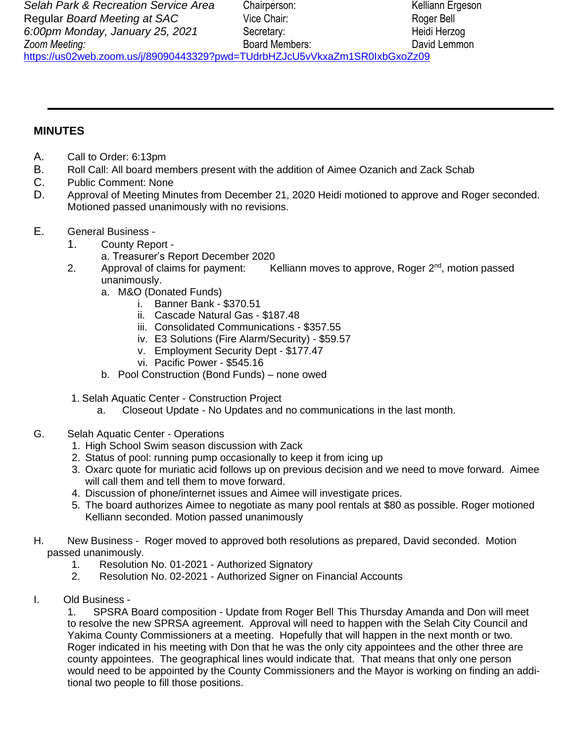## **MINUTES**

- A. Call to Order: 6:13pm
- B. Roll Call: All board members present with the addition of Aimee Ozanich and Zack Schab
- C. Public Comment: None
- D. Approval of Meeting Minutes from December 21, 2020 Heidi motioned to approve and Roger seconded. Motioned passed unanimously with no revisions.
- E. General Business
	- 1. County Report
		- a. Treasurer's Report December 2020
	- 2. Approval of claims for payment: Kelliann moves to approve, Roger 2<sup>nd</sup>, motion passed unanimously.
		- a. M&O (Donated Funds)
			- i. Banner Bank \$370.51
			- ii. Cascade Natural Gas \$187.48
			- iii. Consolidated Communications \$357.55
			- iv. E3 Solutions (Fire Alarm/Security) \$59.57
			- v. Employment Security Dept \$177.47
			- vi. Pacific Power \$545.16
		- b. Pool Construction (Bond Funds) none owed
		- 1. Selah Aquatic Center Construction Project
			- a. Closeout Update No Updates and no communications in the last month.
- G. Selah Aquatic Center Operations
	- 1. High School Swim season discussion with Zack
	- 2. Status of pool: running pump occasionally to keep it from icing up
	- 3. Oxarc quote for muriatic acid follows up on previous decision and we need to move forward. Aimee will call them and tell them to move forward.
	- 4. Discussion of phone/internet issues and Aimee will investigate prices.
	- 5. The board authorizes Aimee to negotiate as many pool rentals at \$80 as possible. Roger motioned Kelliann seconded. Motion passed unanimously
- H. New Business Roger moved to approved both resolutions as prepared, David seconded. Motion passed unanimously.
	- 1. Resolution No. 01-2021 Authorized Signatory
	- 2. Resolution No. 02-2021 Authorized Signer on Financial Accounts
- I. Old Business -

1. SPSRA Board composition - Update from Roger Bell This Thursday Amanda and Don will meet to resolve the new SPRSA agreement. Approval will need to happen with the Selah City Council and Yakima County Commissioners at a meeting. Hopefully that will happen in the next month or two. Roger indicated in his meeting with Don that he was the only city appointees and the other three are county appointees. The geographical lines would indicate that. That means that only one person would need to be appointed by the County Commissioners and the Mayor is working on finding an additional two people to fill those positions.